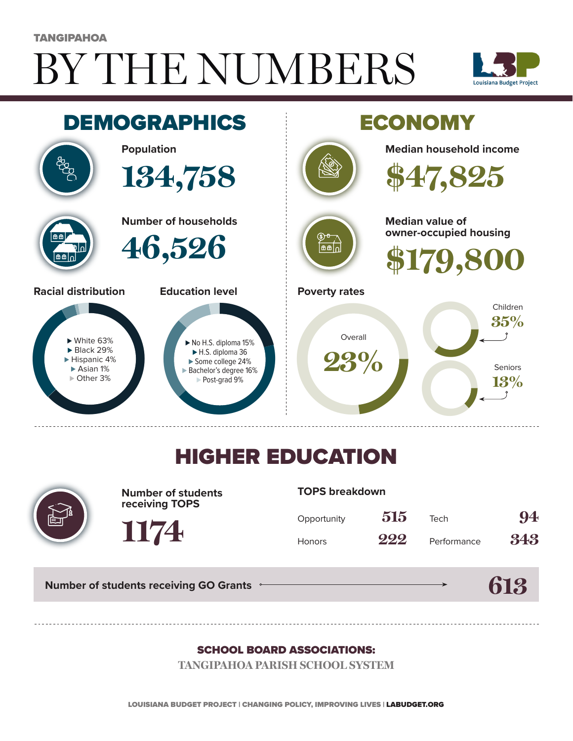# BY THE NUMBERS **TANGIPAHOA**





## HIGHER EDUCATION



**Number of students receiving TOPS**

#### **TOPS breakdown**

| Opportunity   | 515 | Tech        | 94  |
|---------------|-----|-------------|-----|
| <b>Honors</b> | 222 | Performance | 343 |

**613**

**Number of students receiving GO Grants**

**1174**

#### SCHOOL BOARD ASSOCIATIONS:

**TANGIPAHOA PARISH SCHOOL SYSTEM**